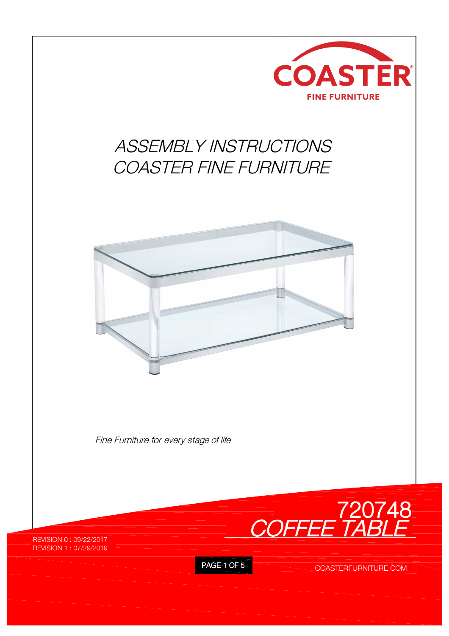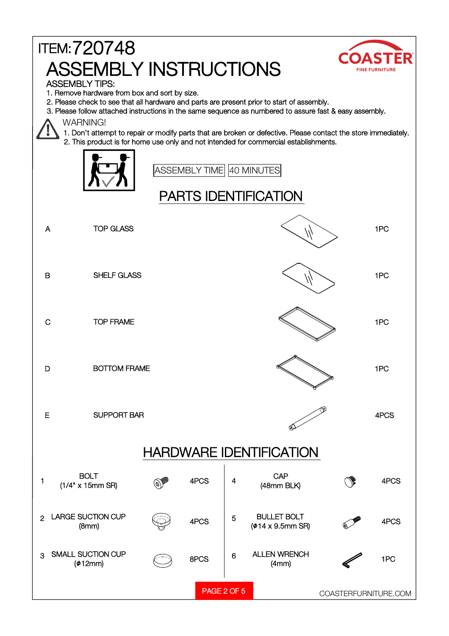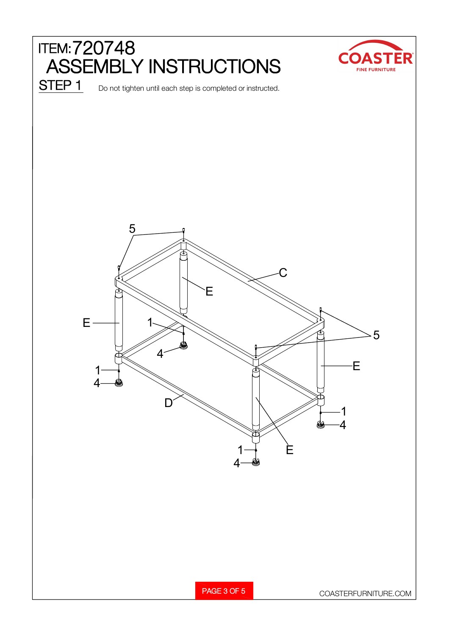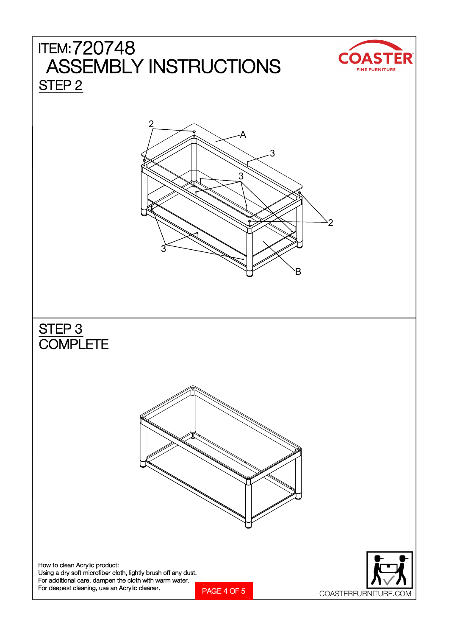